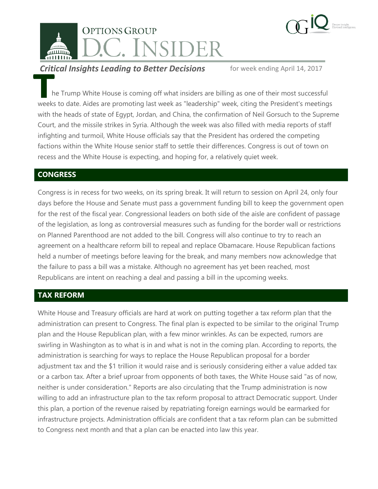



**Critical Insights Leading to Better Decisions** for week ending April 14, 2017

he Trump White House is coming off what insiders are billing as one of their most successful weeks to date. Aides are promoting last week as "leadership" week, citing the President's meetings with the heads of state of Egypt, Jordan, and China, the confirmation of Neil Gorsuch to the Supreme Court, and the missile strikes in Syria. Although the week was also filled with media reports of staff infighting and turmoil, White House officials say that the President has ordered the competing factions within the White House senior staff to settle their differences. Congress is out of town on recess and the White House is expecting, and hoping for, a relatively quiet week. **This**<br>
h<br>
weeks

## **CONGRESS**

Congress is in recess for two weeks, on its spring break. It will return to session on April 24, only four days before the House and Senate must pass a government funding bill to keep the government open for the rest of the fiscal year. Congressional leaders on both side of the aisle are confident of passage of the legislation, as long as controversial measures such as funding for the border wall or restrictions on Planned Parenthood are not added to the bill. Congress will also continue to try to reach an agreement on a healthcare reform bill to repeal and replace Obamacare. House Republican factions held a number of meetings before leaving for the break, and many members now acknowledge that the failure to pass a bill was a mistake. Although no agreement has yet been reached, most Republicans are intent on reaching a deal and passing a bill in the upcoming weeks.

# **TAX REFORM**

White House and Treasury officials are hard at work on putting together a tax reform plan that the administration can present to Congress. The final plan is expected to be similar to the original Trump plan and the House Republican plan, with a few minor wrinkles. As can be expected, rumors are swirling in Washington as to what is in and what is not in the coming plan. According to reports, the administration is searching for ways to replace the House Republican proposal for a border adjustment tax and the \$1 trillion it would raise and is seriously considering either a value added tax or a carbon tax. After a brief uproar from opponents of both taxes, the White House said "as of now, neither is under consideration." Reports are also circulating that the Trump administration is now willing to add an infrastructure plan to the tax reform proposal to attract Democratic support. Under this plan, a portion of the revenue raised by repatriating foreign earnings would be earmarked for infrastructure projects. Administration officials are confident that a tax reform plan can be submitted to Congress next month and that a plan can be enacted into law this year.